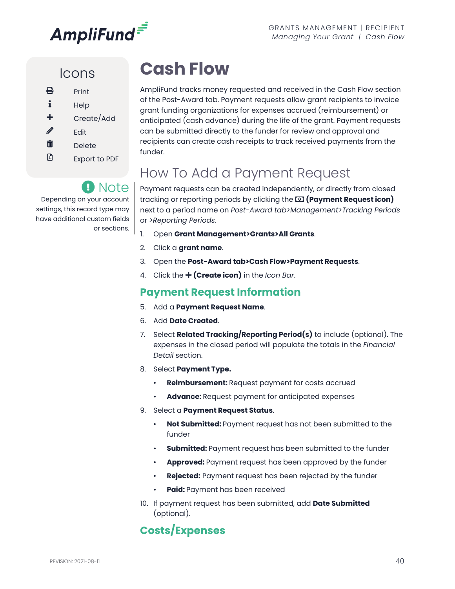

### Icons

| ⇔ | Print                |
|---|----------------------|
| i | Help                 |
| ╋ | Create/Add           |
| I | Fdit                 |
| 而 | Delete               |
| 셰 | <b>Export to PDF</b> |

Depending on your account settings, this record type may have additional custom fields

**A** Note

or sections.

# **Cash Flow**

AmpliFund tracks money requested and received in the Cash Flow section of the Post-Award tab. Payment requests allow grant recipients to invoice grant funding organizations for expenses accrued (reimbursement) or anticipated (cash advance) during the life of the grant. Payment requests can be submitted directly to the funder for review and approval and recipients can create cash receipts to track received payments from the funder.

## How To Add a Payment Request

Payment requests can be created independently, or directly from closed tracking or reporting periods by clicking the **(Payment Request icon)**  next to a period name on *Post-Award tab>Management>Tracking Periods*  or *>Reporting Periods*.

- 1. Open **Grant Management>Grants>All Grants**.
- 2. Click a **grant name**.
- 3. Open the **Post-Award tab>Cash Flow>Payment Requests**.
- 4. Click the **+ (Create icon)** in the *Icon Bar*.

#### **Payment Request Information**

- 5. Add a **Payment Request Name**.
- 6. Add **Date Created**.
- 7. Select **Related Tracking/Reporting Period(s)** to include (optional). The expenses in the closed period will populate the totals in the *Financial Detail* section.
- 8. Select **Payment Type.**
	- **Reimbursement:** Request payment for costs accrued
	- **Advance:** Request payment for anticipated expenses
- 9. Select a **Payment Request Status**.
	- **Not Submitted:** Payment request has not been submitted to the funder
	- **Submitted:** Payment request has been submitted to the funder
	- **Approved:** Payment request has been approved by the funder
	- **Rejected:** Payment request has been rejected by the funder
	- **Paid:** Payment has been received
- 10. If payment request has been submitted, add **Date Submitted** (optional).

### **Costs/Expenses**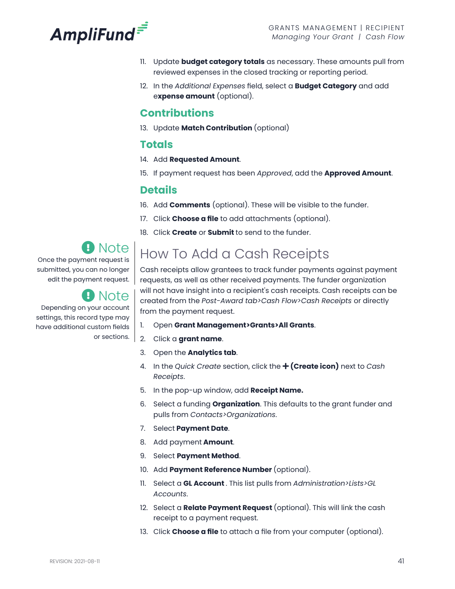

- 11. Update **budget category totals** as necessary. These amounts pull from reviewed expenses in the closed tracking or reporting period.
- 12. In the *Additional Expenses* field, select a **Budget Category** and add e**xpense amount** (optional).

### **Contributions**

13. Update **Match Contribution** (optional)

#### **Totals**

- 14. Add **Requested Amount**.
- 15. If payment request has been *Approved*, add the **Approved Amount**.

#### **Details**

- 16. Add **Comments** (optional). These will be visible to the funder.
- 17. Click **Choose a file** to add attachments (optional).
- 18. Click **Create** or **Submit** to send to the funder.

## Note

Once the payment request is submitted, you can no longer edit the payment request.

### Note

Depending on your account settings, this record type may have additional custom fields or sections.

# How To Add a Cash Receipts

Cash receipts allow grantees to track funder payments against payment requests, as well as other received payments. The funder organization will not have insight into a recipient's cash receipts. Cash receipts can be created from the *Post-Award tab>Cash Flow>Cash Receipts* or directly from the payment request.

- 1. Open **Grant Management>Grants>All Grants**.
- 2. Click a **grant name**.
- 3. Open the **Analytics tab**.
- 4. In the *Quick Create* section, click the  **(Create icon)** next to *Cash Receipts*.
- 5. In the pop-up window, add **Receipt Name.**
- 6. Select a funding **Organization**. This defaults to the grant funder and pulls from *Contacts>Organizations*.
- 7. Select **Payment Date**.
- 8. Add payment **Amount**.
- 9. Select **Payment Method**.
- 10. Add **Payment Reference Number** (optional).
- 11. Select a **GL Account** . This list pulls from *Administration>Lists>GL Accounts*.
- 12. Select a **Relate Payment Request** (optional). This will link the cash receipt to a payment request.
- 13. Click **Choose a file** to attach a file from your computer (optional).